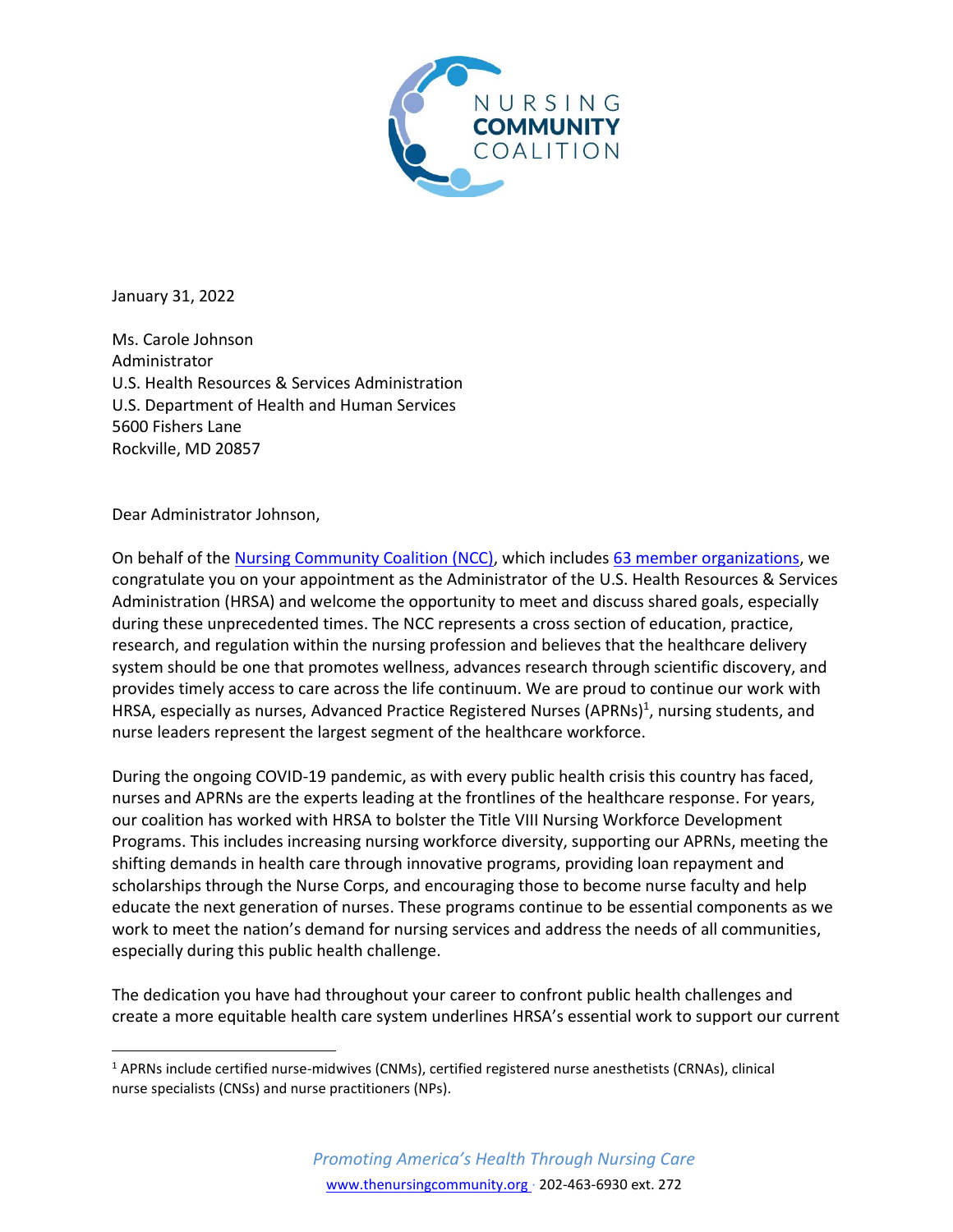

January 31, 2022

Ms. Carole Johnson Administrator U.S. Health Resources & Services Administration U.S. Department of Health and Human Services 5600 Fishers Lane Rockville, MD 20857

Dear Administrator Johnson,

On behalf of th[e Nursing Community Coalition \(NCC\),](https://www.thenursingcommunity.org/) which includes 63 member [organizations,](https://www.thenursingcommunity.org/members) we congratulate you on your appointment as the Administrator of the U.S. Health Resources & Services Administration (HRSA) and welcome the opportunity to meet and discuss shared goals, especially during these unprecedented times. The NCC represents a cross section of education, practice, research, and regulation within the nursing profession and believes that the healthcare delivery system should be one that promotes wellness, advances research through scientific discovery, and provides timely access to care across the life continuum. We are proud to continue our work with HRSA, especially as nurses, Advanced Practice Registered Nurses (APRNs)<sup>1</sup>, nursing students, and nurse leaders represent the largest segment of the healthcare workforce.

During the ongoing COVID-19 pandemic, as with every public health crisis this country has faced, nurses and APRNs are the experts leading at the frontlines of the healthcare response. For years, our coalition has worked with HRSA to bolster the Title VIII Nursing Workforce Development Programs. This includes increasing nursing workforce diversity, supporting our APRNs, meeting the shifting demands in health care through innovative programs, providing loan repayment and scholarships through the Nurse Corps, and encouraging those to become nurse faculty and help educate the next generation of nurses. These programs continue to be essential components as we work to meet the nation's demand for nursing services and address the needs of all communities, especially during this public health challenge.

The dedication you have had throughout your career to confront public health challenges and create a more equitable health care system underlines HRSA's essential work to support our current

<sup>1</sup> APRNs include certified nurse-midwives (CNMs), certified registered nurse anesthetists (CRNAs), clinical nurse specialists (CNSs) and nurse practitioners (NPs).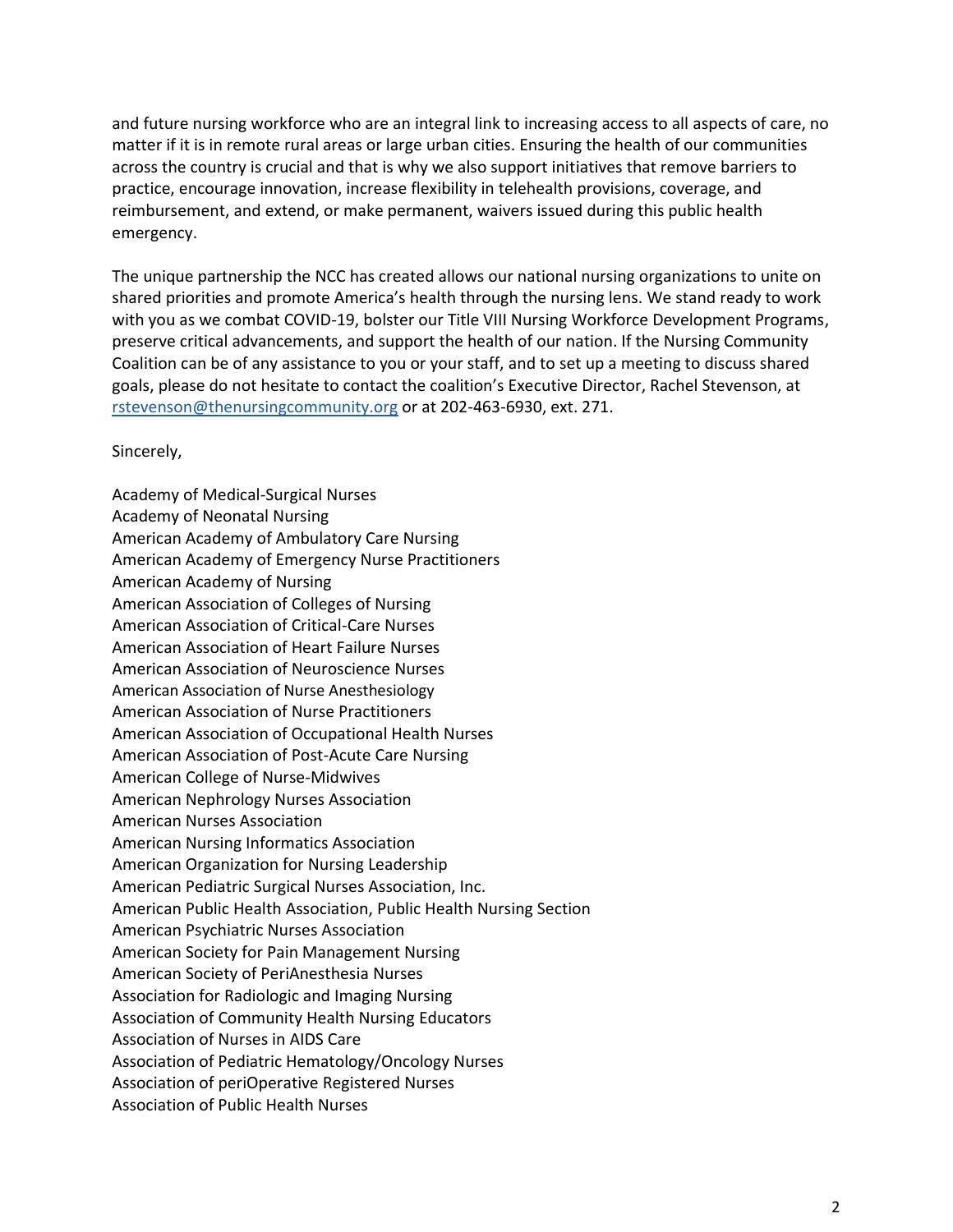and future nursing workforce who are an integral link to increasing access to all aspects of care, no matter if it is in remote rural areas or large urban cities. Ensuring the health of our communities across the country is crucial and that is why we also support initiatives that remove barriers to practice, encourage innovation, increase flexibility in telehealth provisions, coverage, and reimbursement, and extend, or make permanent, waivers issued during this public health emergency.

The unique partnership the NCC has created allows our national nursing organizations to unite on shared priorities and promote America's health through the nursing lens. We stand ready to work with you as we combat COVID-19, bolster our Title VIII Nursing Workforce Development Programs, preserve critical advancements, and support the health of our nation. If the Nursing Community Coalition can be of any assistance to you or your staff, and to set up a meeting to discuss shared goals, please do not hesitate to contact the coalition's Executive Director, Rachel Stevenson, at [rstevenson@thenursingcommunity.org](mailto:rstevenson@thenursingcommunity.org) or at 202-463-6930, ext. 271.

Sincerely,

Academy of Medical-Surgical Nurses Academy of Neonatal Nursing American Academy of Ambulatory Care Nursing American Academy of Emergency Nurse Practitioners American Academy of Nursing American Association of Colleges of Nursing American Association of Critical-Care Nurses American Association of Heart Failure Nurses American Association of Neuroscience Nurses American Association of Nurse Anesthesiology American Association of Nurse Practitioners American Association of Occupational Health Nurses American Association of Post-Acute Care Nursing American College of Nurse-Midwives American Nephrology Nurses Association American Nurses Association American Nursing Informatics Association American Organization for Nursing Leadership American Pediatric Surgical Nurses Association, Inc. American Public Health Association, Public Health Nursing Section American Psychiatric Nurses Association American Society for Pain Management Nursing American Society of PeriAnesthesia Nurses Association for Radiologic and Imaging Nursing Association of Community Health Nursing Educators Association of Nurses in AIDS Care Association of Pediatric Hematology/Oncology Nurses Association of periOperative Registered Nurses Association of Public Health Nurses